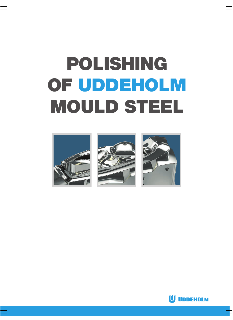# **POLISHING OF UDDEHOLM MOULD STEEL**







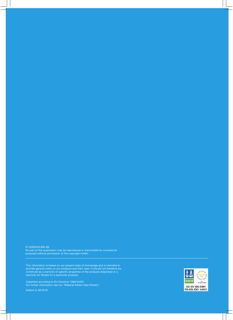© UDDEHOLMS AB No part of this publication may be reproduced or transmitted for commercial purposes without permission of the copyright holder.

This information is based on our present state of knowledge and is intended to provide general notes on our products and their uses. It should not therefore be construed as a warranty of specific properties of the products described or a warranty for fitness for a particular purpose.

Classified according to EU Directive 1999/45/EC For further information see our "Material Safety Data Sheets".

Edition 6, 08.2016

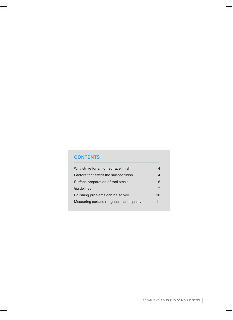# **CONTENTS**

| Why strive for a high surface finish    | 4  |
|-----------------------------------------|----|
| Factors that affect the surface finish  | 4  |
| Surface preparation of tool steels      | 6  |
| Guidelines                              | 7  |
| Polishing problems can be solved        | 10 |
| Measuring surface roughness and quality | 11 |
|                                         |    |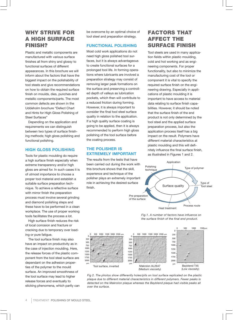# WHY STRIVE FOR A HIGH SURFACE FINISH?

Plastic and metallic components are manufactured with various surface finishes all from shiny and glossy to functional surfaces of different appearances. In this brochure we will inform about the factors that have the biggest impact on the polishability of tool steels and give recommendations on how to obtain the required surface finish on moulds, dies, punches and metallic components/parts. The most common defects are shown in the Uddeholm brochure "Defect Chart and Hints for High Gloss Polishing of Steel Surfaces"

Depending on the application and requirements we can distinguish between two types of surface finishing methods; high gloss polishing and functional polishing.

## **HIGH GLOSS POLISHING**

Tools for plastic moulding do require a high surface finish especially when extreme transparency and/or high gloss are aimed for. In such cases it is of utmost importance to choose a proper tool material and establish a suitable surface preparation technique. To achieve a reflective surface with mirror finish the preparation process must involve several grinding and diamond polishing steps and these have to be performed in a clean workplace. The use of proper working tools facilitates the process a lot.

High surface finish reduces the risk of local corrosion and fracture or cracking due to temporary over loading or pure fatigue.

The tool surface finish may also have an impact on productivity as in the case of injection moulding. Here, the release forces of the plastic component from the tool steel surface are dependant on the adhesion properties of the polymer to the mould surface. An improved smoothness of the tool surface may lead to higher release forces and eventually to sticking phenomena, which partly can be overcome by an optimal choice of tool steel and preparation strategy.

# **FUNCTIONAL POLISHING**

Most cold work applications do not need high gloss polished tool surfaces, but it is always advantageous to create functional surfaces for a prolonged tool life. In forming operations where lubricants are involved a preparation strategy may consist of removing larger peak formations on the surface and preserving a controlled depth of valleys as lubrication pockets, which then will contribute to a reduced friction during forming. However, it is always important to consider the final tool steel surface quality in relation to the application. If a high quality surface coating is going to be applied, then it is always recommended to perform high gloss polishing of the tool surface before the coating process.

# **THE POLISHER IS EXTREMELY IMPORTANT**

The results from the tests that have been carried out during the work with this brochure shows that the skill, experience and technique of the polisher plays an extremely important role in achieving the desired surface finish.

# FACTORS THAT AFFECT THE SURFACE FINISH

Tool steels are used in many application fields within plastic moulding, cold and hot working and as engineering components. For proper functionality, but also to minimize the manufacturing cost of the tool or component it is vital to specify the required surface finish on the engineering drawing. Especially in applications of plastic moulding it is important to have access to material data relating to surface finish capabilities. However, it should be noted that the surface finish of the end product is not only determined by the tool steel and the applied surface preparation process, but also the application process itself has a big impact on the result. Polymers have different material characteristics at plastic moulding and this will definitely influence the final surface finish, as illustrated in Figures 1 and 2.



*Fig.1. A number of factors have influence on the surface finish of the final end product.*



*Fig 2. The photos show differently holes/pits on tool surface replicated on the plastic plaque due to different material characteristics in different polymers. Fewer peaks is detected on the Makrolon plaque whereas the Bayblend plaque had visible peaks all over the surface.*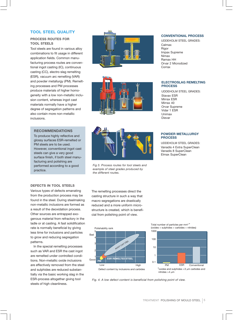## **TOOL STEEL QUALITY**

#### **PROCESS ROUTES FOR TOOL STEELS**

Tool steels are found in various alloy combinations to fit usage in different application fields. Common manufacturing process routes are conventional ingot casting (IC), continuous casting (CC), electro slag remelting (ESR), vacuum arc remelting (VAR) and powder metallurgy (PM). Remelting processes and PM processes produce materials of higher homogeneity with a low non-metallic inclusion content, whereas ingot cast materials normally have a higher degree of segregation patterns and also contain more non-metallic inclusions.

#### **RECOMMENDATIONS**

To produce highly reflective and glossy surfaces ESR-remelted or PM steels are to be used. However, conventional ingot cast steels can give a very good surface finish, if both steel manufacturing and polishing are performed according to a good practice.

#### **DEFECTS IN TOOL STEELS**

Various types of defects emanating from the production process may be found in the steel. During steelmaking non-metallic inclusions are formed as a result of the deoxidation process. Other sources are entrapped exogenous material from refractory in the ladle or at casting. A fast solidification rate is normally beneficial by giving less time for inclusions and particles to grow and reducing segregation patterns.

In the special remelting processes such as VAR and ESR the cast ingot are remelted under controlled conditions. Non-metallic oxide inclusions are effectively removed from the steel and sulphides are reduced substantially via the basic working slag in the ESR-process altogether giving tool steels of high cleanliness.







*Fig 3. Process routes for tool steels and example of steel grades produced by the different routes.*

The remelting processes direct the casting structure in such a way that macro segregations are drastically reduced and a more uniform microstructure is created, which is beneficial from polishing point of view.







*Fig. 4. A low defect content is beneficial from polishing point of view.*

#### **CONVENTIONAL PROCESS**

UDDEHOLM STEEL GRADES: Calmax **Rigor** Impax Supreme Nimax Ramax HH Orvar 2 Microdized Corrax

#### **ELECTROSLAG REMELTING PROCESS**

UDDEHOLM STEEL GRADES: Stavax ESR Mirrax ESR Mirrax 40 Orvar Supreme Vidar 1 ESR Unimax Dievar

#### **POWDER METALLURGY PROCESS**

UDDEHOLM STEEL GRADES: Vanadis 4 Extra SuperClean Vanadis 8 SuperClean Elmax SuperClean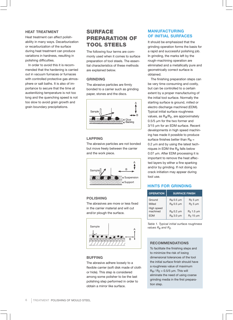#### **HEAT TREATMENT**

Heat treatment can affect polishability in many ways. Decarburization or recarburization of the surface during heat treatment can produce variations in hardness, resulting in polishing difficulties.

In order to avoid this it is recommended that the hardening is carried out in vacuum furnaces or furnaces with controlled protective gas atmosphere or salt baths. It is also of importance to secure that the time at austenitizing temperature is not too long and the quenching speed is not too slow to avoid grain growth and grain boundary precipitations.

# SURFACE PREPARATION OF TOOL STEELS

The following four terms are commonly used when it comes to surface preparation of tool steels. The essential characteristics of these methods are explained below.

#### **GRINDING**

The abrasive particles are firmly bonded to a carrier such as grinding paper, stones and the discs.



#### **LAPPING**

The abrasive particles are not bonded but move freely between the carrier and the work piece.



#### **POLISHING**

The abrasives are more or less fixed in the carrier material and will cut and/or plough the surface.



#### **BUFFING**

The abrasive adhere loosely to a flexible carrier (soft disk made of cloth or hide). This step is considered among some polisher to be the last polishing step performed in order to obtain a mirror like surface.

# **MANUFACTURING OF INITIAL SURFACES**

It should be emphasized that the grinding operation forms the basis for a rapid and successful polishing job. In grinding, the marks left by the rough-machining operation are eliminated and a metallically pure and geometrically correct surface is obtained.

The finishing preparation steps can be very time consuming and costly, but can be controlled to a certain extent by a proper manufacturing of the initial tool surface. Normally the starting surface is ground, milled or electro discharge machined (EDM). Typical initial surface roughness values, as Ra/Rz, are approximately 0.5/5 µm for the two former and 3/15 µm for an EDM surface. Recent developments in high speed machining has made it possible to produce surface finishes better than  $Ra =$ 0.2 um and by using the latest techniques in EDM the Ra falls below 0.07 µm. After EDM processing it is important to remove the heat affected layers by either a fine sparking and/or by grinding. If not doing so crack initiation may appear during tool use.

## **HINTS FOR GRINDING**

| <b>OPERATION</b> | <b>SURFACE FINISH</b> |                  |  |  |
|------------------|-----------------------|------------------|--|--|
| Ground           | $Ra$ 0.5 $µm$         | $RZ$ 5 µm        |  |  |
| Milled           | R <sub>a</sub> 0.5 µm | $RZ$ 5 $\mu$ m   |  |  |
| High speed       |                       |                  |  |  |
| machined         | $Ra$ 0.2 $µm$         | $RZ$ 1.5 $\mu$ m |  |  |
| FDM              | $Ra$ 3.0 $µm$         | $RZ$ 15 $\mu$ m  |  |  |

*Table 1. Typical initial surface roughness values Ra and Rz.*

#### **RECOMMENDATIONS**

To facilitate the finishing steps and to minimize the risk of losing dimensional tolerances of the tool the initial surface finish should have a roughness value of maximum  $R_a$  /  $R_z$  = 0.5/5  $\mu$ m. This will eliminate the need of using coarse grinding media in the first preparation step.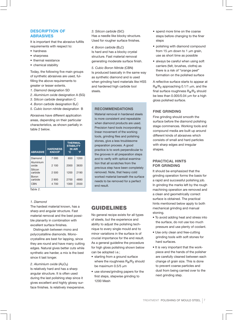# **DESCRIPTION OF ABRASIVES**

It is important that the abrasive fulfills requirements with respect to:

- hardness
- sharpness
- thermal resistance
- chemical stability

Today, the following five main groups of synthetic abrasives are used, fulfilling the above requirements to greater or lesser extents.

- *1. Diamond* designation SD
- *2. Aluminium oxide* designation A (SG)
- *3. Silicon carbide* designation C
- *4. Boron carbide* designation B4C
- *5. Cubic boron nitride* designation B

Abrasives have different application areas, depending on their particular characteristics, as shown partially in table 2 below.

| <b>ABRASIVE</b>    | <b>HARDNESS</b><br><b>KNOOP</b> | <b>THERMAL</b><br><b>STABILITY</b><br><b>IN AIR</b><br>$\circ$ C<br>°F |      |
|--------------------|---------------------------------|------------------------------------------------------------------------|------|
| Diamond            | 7 0 0 0                         | 650                                                                    | 1200 |
| Aluminium<br>oxide | 2 100                           | 2000                                                                   | 3630 |
| Silicon<br>carbide | 2 500                           | 1200                                                                   | 2190 |
| Boron<br>carbide   | 2 900                           | 2700                                                                   | 4890 |
| <b>CBN</b>         | 4 700                           | 1300                                                                   | 2550 |

*Table 2.*

#### *1. Diamond*

The hardest material known, has a sharp and angular structure. Fast material removal and the best possible planarity in combination with excellent surface finishes.

Distinguish between mono and polycrystalline diamonds. Monocrystalline are best for lapping, since they are round and have many cutting edges. Natural gives better cuts while synthetic are harder, a mix is the best since it last longer.

#### 2. Aluminium oxide (Al<sub>2</sub>O<sub>3</sub>)

Is relatively hard and has a sharp angular structure. It is often used during the last polishing step since it gives excellent and highly glossy surface finishes. Is relatively inexpensive. *3. Silicon carbide* (SiC) Has a needle like blocky structure. Used for rougher surface finishes.

4. Boron carbide (B<sub>4</sub>C) Is hard and has a blocky crystal structure. Fast material removal generating moderate surface finish.

*5. Cubic Boron Nitride* (CBN) Is produced basically in the same way as synthetic diamond and is used when grinding hard materials like HSS and hardened high carbide tool steels.

#### **RECOMMENDATIONS**

Material removal in hardened steels is more consistent and repeatable when diamond products are used. Precision hand tools incorporating linear movement of the working tools, grinding files and polishing stones, give a less troublesome preparation process. A good practice is to work perpendicular to the grooves in all preparation steps and to verify with optical examination that all scratches from the previous step have been completely removed. Note, that heavy cold worked material beneath the surface needs to be removed for a perfect end result.

# GUIDELINES

No general recipe exists for all types of steels, but the experience and ability to adjust the polishing technique to every single mould and to minor variations in the surface is of crucial importance for the end result. As a general guideline the procedure for high gloss polishing shown below can be adopted i.e.;

- starting from a ground surface where the roughness Ra/Rz should be maximum 0.5/5 µm
- use stones/grinding papers for the first steps, stepwise grinding to 1200 Mesh
- spend more time on the coarse steps before changing to the finer steps
- polishing with diamond compound from 15  $\mu$ m down to 1  $\mu$ m grain, use as short time as possible
- always be careful when using soft carriers (felt, brushes, cloths) as there is a risk of "orange peel" formation on the polished surface

A reflective surface starts to appear at  $R_{\rm a}/R_{\rm Z}$  approaching 0.1/1  $\mu$ m, and the final surface roughness R<sub>a</sub>/R<sub>z</sub> should be less than 0.005/0.04 um for a high gloss polished surface.

## **FINE GRINDING**

Fine grinding should smooth the surface before the diamond polishing stage commences. Working tools and compound media are built up around different kinds of abrasives which consists of small and hard particles with sharp edges and irregular shapes.

#### **PRACTICAL HINTS FOR GRINDING**

It should be emphasized that the grinding operation forms the basis for a rapid and successful polishing job. In grinding the marks left by the rough machining operation are removed and a clean and geometrically correct surface is obtained. The practical hints mentioned below apply to both mechanical grinding and manual stoning.

- To avoid adding heat and stress into the surface, do not use too much pressure and use plenty of coolant.
- Use only clean and free-cutting grinding tools with soft stones for hard surfaces.
- It is very important that the workpiece and the hands of the polisher are carefully cleaned between each change of grain size. This is done to prevent coarse particles and dust from being carried over to the next grinding step.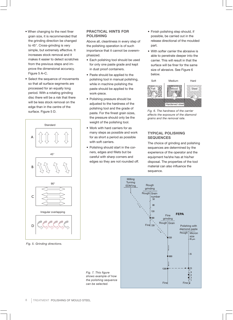- When changing to the next finer grain size, it is recommended that the grinding direction be changed to 45°. Cross-grinding is very simple, but extremely effective. It increases stock removal and it makes it easier to detect scratches from the previous steps and improve the dimensional accuracy. Figure 5 A–C.
- Select the sequence of movements so that all surface segments are processed for an equally long period. With a rotating grinding disc there will be a risk that there will be less stock removal on the edge than in the centre of the surface. Figure 5 D.



*Fig. 5. Grinding directions.*

## **PRACTICAL HINTS FOR POLISHING**

Above all, cleanliness in every step of the polishing operation is of such importance that it cannot be overemphasized.

- Each polishing tool should be used for only one paste grade and kept in dust proof containers.
- Paste should be applied to the polishing tool in manual polishing, while in machine polishing the paste should be applied to the work-piece.
- Polishing pressure should be adjusted to the hardness of the polishing tool and the grade of paste. For the finest grain sizes, the pressure should only be the weight of the polishing tool.
- Work with hard carriers for as many steps as possible and work for as short a period as possible with soft carriers.
- Polishing should start in the corners, edges and fillets but be careful with sharp corners and edges so they are not rounded off.

*Fig. 7. This figure*

*can be selected.*

- Finish polishing step should, if possible, be carried out in the release directional of the moulded part.
- With softer carrier the abrasive is able to penetrate deeper into the carrier. This will result in that the surface will be finer for the same size of abrasive. See Figure 6 below.



*Fig. 6. The hardness of the carrier affects the exposure of the diamond grains and the removal rate.*

# **TYPICAL POLISHING SEQUENCES**

The choice of grinding and polishing sequences are determined by the experience of the operator and the equipment he/she has at his/her disposal. The properties of the tool material can also influence the sequence.



8 | TREATMENT POLISHING OF MOULD STEEL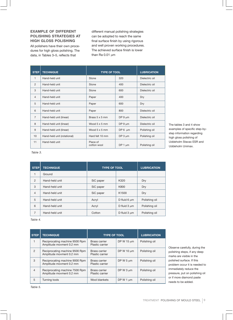## **EXAMPLE OF DIFFERENT POLISHING STRATEGIES AT HIGH GLOSS POLISHING**

All polishers have their own procedures for high gloss polishing. The data, in Tables 3–5, reflects that

different manual polishing strategies can be adopted to reach the same final surface finish by using rigorous and well proven working procedures. The achieved surface finish is lower than Ra  $0.01 \mu m$ 

| <b>STEP</b>     | <b>TECHNIQUE</b>            | <b>TYPE OF TOOL</b>     |              | <b>LUBRICATION</b> |
|-----------------|-----------------------------|-------------------------|--------------|--------------------|
| 1               | Hand-held unit              | Stone                   | 320          | Dielectric oil     |
| $\overline{2}$  | Hand-held unit              | Stone                   | 400          | Dielectric oil     |
| 3               | Hand-held unit              | Stone                   | 600          | Dielectric oil     |
| $\overline{4}$  | Hand-held unit              | Paper                   | 400          | Dry                |
| 5               | Hand-held unit              | Paper                   | 600          | Dry                |
| $6\overline{6}$ | Hand-held unit              | Paper                   | 800          | Dielectric oil     |
| $\overline{7}$  | Hand-held unit (linear)     | Brass 5 x 5 mm          | DP $9 \mu m$ | Dielectric oil     |
| 8               | Hand-held unit (linear)     | Wood $5 \times 5$ mm    | DP $9 \mu m$ | Dielectric oil     |
| 9               | Hand-held unit (linear)     | Wood $5 \times 5$ mm    | DP 6 $\mu$ m | Polishing oil      |
| 10              | Hand-held unit (rotational) | Hard felt 10 mm         | DP $3 \mu m$ | Polishing oil      |
| 11              | Hand-held unit              | Piece of<br>cotton wool | DP 1 $\mu$ m | Polishing oil      |

The tables 3 and 4 show examples of specific step-bystep information regarding high gloss polishing of Uddeholm Stavax ESR and Uddeholm Unimax.

*Table 3.*

| <b>STEP</b>    | <b>TECHNIQUE</b> | <b>TYPE OF TOOL</b> |                   | <b>LUBRICATION</b> |
|----------------|------------------|---------------------|-------------------|--------------------|
| $\mathbf{1}$   | Ground           |                     |                   |                    |
| 2              | Hand-held unit   | SiC paper           | K320              | Dry                |
| 3              | Hand-held unit   | SiC paper           | K800              | Dry                |
| $\overline{4}$ | Hand-held unit   | SiC paper           | K <sub>1500</sub> | Dry                |
| 5              | Hand-held unit   | Acryl               | D fluid $6 \mu m$ | Polishing oil      |
| 6              | Hand-held unit   | Acryl               | D fluid $3 \mu m$ | Polishing oil      |
| 7              | Hand-held unit   | Cotton              | D fluid $3 \mu m$ | Polishing oil      |

*Table 4.*

| <b>STEP</b>    | <b>TECHNIQUE</b>                                           | <b>TYPE OF TOOL</b>              |                 | <b>LUBRICATION</b> |
|----------------|------------------------------------------------------------|----------------------------------|-----------------|--------------------|
| 1              | Reciprocating machine 9500 Rpm<br>Amplitude movment 0.2 mm | Brass carrier<br>Plastic carrier | DP W 15 $\mu$ m | Polishing oil      |
| $\mathfrak{p}$ | Reciprocating machine 9500 Rpm<br>Amplitude movment 0.2 mm | Brass carrier<br>Plastic carrier | DP W 10 $\mu$ m | Polishing oil      |
| 3              | Reciprocating machine 9000 Rpm<br>Amplitude movment 0.2 mm | Brass carrier<br>Plastic carrier | DP W $5 \mu m$  | Polishing oil      |
| $\overline{4}$ | Reciprocating machine 7500 Rpm<br>Amplitude movment 0.2 mm | Brass carrier<br>Plastic carrier | DP W $3 \mu m$  | Polishing oil      |
| 5              | Turning tools                                              | Wool blankets                    | DP W 1 $\mu$ m  | Polishing oil      |

Observe carefully, during the polishing steps, if any deep marks are visible in the polished surface. If this problem occur it is needed to immediately reduce the pressure, put on polishing oil or if more diamond paste needs to be added.

*Table 5.*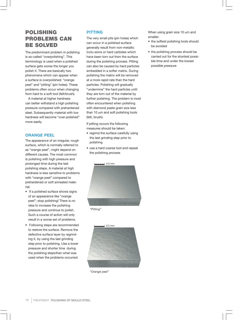# POLISHING PROBLEMS CAN BE SOLVED

The predominant problem in polishing is so-called "overpolishing". This terminology is used when a polished surface gets worse the longer you polish it. There are basically two phenomena which can appear when a surface is overpolished: "orange peel" and "pitting" (pin holes). These problems often occur when changing from hard to a soft tool (felt/brush).

A material at higher hardness can better withstand a high polishing pressure compared with prehardened steel. Subsequently material with low hardness will become "over-polished" more easily.

# **ORANGE PEEL**

The appearance of an irregular, rough surface, which is normally referred to as "orange peel", might depend on different causes. The most common is polishing with high pressure and prolonged time during the last polishing steps. A material at high hardness is less sensitive to problems with "orange peel" compared to prehardened or soft annealed material.

- If a polished surface shows signs of an appearance like "orange peel"; stop polishing! There is no idea to increase the polishing pressure and continue to polish. Such a course of action will only result in a worse set of problems.
- Following steps are recommended to restore the surface. Remove the defective surface layer by regrinding it, by using the last grinding step prior to polishing. Use a lower pressure and shorter time during the polishing stepsthan what was used when the problems occurred.

# **PITTING**

The very small pits (pin holes) which can occur in a polished surface generally result from non-metallic inclu-sions or hard carbides which have been torn out from the surface during the polishing process. Pitting can also be caused by hard particles embedded in a softer matrix. During polishing the matrix will be removed at a more rapid rate than the hard particles. Polishing will gradually "undermine" the hard particles until they are torn out of the material by further polishing. The problem is most often encountered when polishing with diamond paste grain size less than 10  $\mu$ m and soft polishing tools (felt, brush).

If pitting occurs the following measures should be taken:

- regrind the surface carefully using the last grinding step prior to polishing
- use a hard coarse tool and repeat the polishing process



*"Pitting"*



*"Orange peel"*

When using grain size 10 um and smaller:

- the softest polishing tools should be avoided
- the polishing process should be carried out for the shortest possible time and under the lowest possible pressure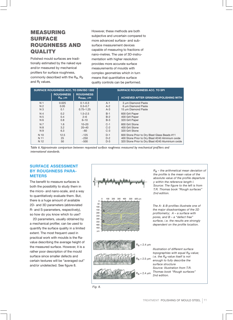# MEASURING SURFACE ROUGHNESS AND **QUALITY**

Polished mould surfaces are traditionally estimated by the naked eye and/or measured by mechanical profilers for surface roughness, commonly described with the Ra, Rz and  $R_t$  values.

However, these methods are both subjective and uncertain compared to more advanced surface- and subsurface measurement devices capable of measuring to fractions of nano-metres. The use of 3D-instrumentation with higher resolution provides more accurate surface measurements of moulds with complex geometries which in turn means that quantitative surface quality controls can be performed.

| <b>SURFACE ROUGHNESS ACC. TO DIN/ISO 1302</b> |                                 | <b>SURFACE ROUGHNESS ACC. TO SPI</b>           |       |                                                   |
|-----------------------------------------------|---------------------------------|------------------------------------------------|-------|---------------------------------------------------|
|                                               | <b>ROUGHNESS</b><br>$Ra, \mu m$ | <b>ROUGHNESS</b><br>$R_{\text{max}}$ , $\mu$ m |       | <b>ACHIEVED AFTER GRINDING/POLISHING WITH</b>     |
| N <sub>1</sub>                                | 0.025                           | $0.1 - 0.3$                                    | $A-1$ | 3 um Diamond Paste                                |
| N <sub>2</sub>                                | 0.05                            | $0.3 - 0.7$                                    | $A-2$ | 6 um Diamond Paste                                |
| N <sub>3</sub>                                | 0.1                             | $0.75 - 1.25$                                  | $A-3$ | 15 um Diamond Paste                               |
| N <sub>4</sub>                                | 0.2                             | $1.5 - 2.5$                                    | $B-1$ | 600 Grit Paper                                    |
| N 5                                           | 0.4                             | $2 - 6$                                        | $B-2$ | 400 Grit Paper                                    |
| N 6                                           | 0.8                             | $6 - 10$                                       | $B-3$ | 320 Grit Paper                                    |
| N 7                                           | 1.6                             | $10 - 20$                                      | $C-1$ | 600 Grit Stone                                    |
| N 8                                           | 3.2                             | $20 - 40$                                      | $C-2$ | 400 Grit Stone                                    |
| N 9                                           | 6.3                             | ~100                                           | $C-3$ | 320 Grit Stone                                    |
| N 10                                          | 12.5                            | ~125                                           | $D-1$ | 600 Stone Prior to Dry Blast Glass Beads #11      |
| N 11                                          | 25                              | ~250                                           | $D-2$ | 400 Stone Prior to Dry Blast #240 Alminium oxide  |
| N 12                                          | 50                              | ~100                                           | $D-3$ | 320 Stone Prior to Dry Blast #240 Aluminium oxide |

*Table 6. Approximate comparison between requested surface roughness measured by mechanical profilers and international standards.*

# **SURFACE ASSESSMENT BY ROUGHNESS PARA-METERS**

The benefit to measure surfaces is both the possibility to study them in the micro- and nano-scale, and a way to quantitatively evaluate them. But, there is a huge amount of available 2D- and 3D parameters (abbreviated R- and S-parameters, respectively), so how do you know which to use?

2D parameters, usually obtained by a mechanical profiler, can be used to quantify the surface quality in a limited extent. The most frequent used in practical work with moulds is the Ravalue describing the average height of the measured surface. However, it is a rather poor description of the mould surface since smaller defects and certain textures will be "averaged out" and/or undetected. See figure 8.



*Ra – the arithmetical mean deviation of the profile is the mean value of the absolute value of the profile departure y within the reference length l. Source: The figure to the left is from T.R. Thomas book "Rough surfaces" 2nd edition.*

*The A- & B-profiles illustrate one of the major disadvantages of the 2D profilometry; A – a surface with pores, and B – a "defect free" surface, i.e. the results are strongly dependent on the profile location.*

*Illustration of different surface topographies with equal Ra-value; i.e. the Ra-value itself is not enough to fully describe the surface structure Source: Illustration from T.R. Thomas book "Rough surfaces" 2nd edition.*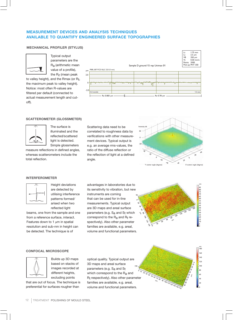# **MEASUREMENT DEVICES AND ANALYSIS TECHNIQUES AVAILABLE TO QUANTIFY ENGINEERED SURFACE TOPOGRAPHIES**

#### **MECHANICAL PROFILER (STYLUS)**



Typical output parameters are the Ra (arithmetic mean value of a profile), the R<sub>z</sub> (mean peak

to valley height), and the Rmax (or Rt, the maximum peak to valley height). Notice: most often R-values are filtered per default (connected to actual measurement length and cutoff).



#### **SCATTEROMETER (GLOSSMETER)**

The surface is illuminated and the reflected/scattered light is detected. Simple glossmeters

measure reflections in defined angles, whereas scatterometers include the total reflection.

## Scattering data need to be correlated to roughness data by verifications with other measurement devices. Typical output is e.g. an average rms-values, the ratio of the diffuse reflection or the reflection of light at a defined angle.



#### **INTERFEROMETER**



Height deviations are detected by utilising interference patterns formed/ arised when two reflected light

beams, one from the sample and one from a reference surface, interact. Features down to 1  $\mu$ m in spatial resolution and sub-nm in height can be detected. The technique is of

advantages in laboratories due to its sensitivity to vibration, but new instruments are coming that can be used for in-line measurements. Typical output are 3D maps and areal surface parameters (e.g. S<sub>a</sub> and St which correspond to the  $R_a$  and  $R_t$  respectively). Also other parameter families are available, e.g. areal, volume and functional parameters. 90



#### **CONFOCAL MICROSCOPE**



Builds up 3D maps based on stacks of images recorded at different heights, excluding points

that are out of focus. The technique is preferential for surfaces rougher than

190 optical quality. Typical output are 3D maps and areal surface parameters (e.g. S<sub>a</sub> and St which correspond to the Ra and Rt respectively). Also other parameter families are available, e.g. areal, volume and functional parameters.

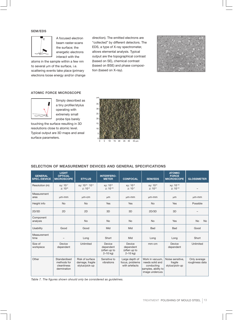#### **SEM/EDS**



A focused electron beam raster-scans the surface; the energetic electrons interact with the

atoms in the sample within a few nm to several um of the surface, i.e. scattering events take place (primary electrons loose energy and/or change direction). The emitted electrons are "collected" by different detectors. The EDS, a type of X-ray spectrometer, allows elemental analysis. Typical output are the topographical contrast (based on SE), chemical contrast (based on BSE) and phase composition (based on X-ray).



#### **ATOMIC FORCE MICROSCOPE**



Simply described as a tiny profiler/stylus operating with extremely small probe tips barely

touching the surface resulting in 3D resolutions close to atomic level. Typical output are 3D maps and areal surface parameters.



#### **SELECTION OF MEASUREMENT DEVICES AND GENERAL SPECIFICATIONS**

| <b>GENERAL</b><br><b>SPEC./DEVICE</b> | <b>LIGHT</b><br><b>OPTICAL</b><br><b>MICROSCOPE</b>       | <b>STYLUS</b>                                        | <b>INTERFERO-</b><br><b>METER</b>                   | <b>CONFOCAL</b>                                     | <b>SEM/EDS</b>                                                                             | <b>ATOMIC</b><br><b>FORCE</b><br><b>MICROSCOPE</b> | <b>GLOSSMETER</b>              |
|---------------------------------------|-----------------------------------------------------------|------------------------------------------------------|-----------------------------------------------------|-----------------------------------------------------|--------------------------------------------------------------------------------------------|----------------------------------------------------|--------------------------------|
| Resolution (m)                        | xy: 10-7<br>$Z: 10^{-6}$                                  | xv: 10-6 - 10-4<br>$Z: 10^{-9}$                      | xy: 10-6<br>$Z: 10^{-10}$                           | xy: 10-6<br>$z: 10^{-7}$                            | xy: 10-9<br>$Z: 10^{-9}$                                                                   | xy: 10-10<br>$Z: 10^{-12}$                         |                                |
| Measurement<br>area                   | $\mu$ m-mm                                                | um-cm                                                | μm                                                  | $µm$ - $mm$                                         | $µm$ - $mm$                                                                                | <b>um</b>                                          | $µm$ - $mm$                    |
| Height info                           | <b>No</b>                                                 | <b>No</b>                                            | Yes                                                 | Yes                                                 | <b>No</b>                                                                                  | Yes                                                | Possible                       |
| 2D/3D                                 | 2D                                                        | 2D                                                   | 3D                                                  | 3D                                                  | 2D/3D                                                                                      | 3D                                                 |                                |
| Component<br>analysis                 |                                                           | <b>No</b>                                            | <b>No</b>                                           | <b>No</b>                                           | <b>No</b>                                                                                  | Yes                                                | <b>No</b><br><b>No</b>         |
| Usability                             | Good                                                      | Good                                                 | Mid                                                 | Mid                                                 | <b>Bad</b>                                                                                 | <b>Bad</b>                                         | Good                           |
| Measurement<br>time                   |                                                           | Long                                                 | Short                                               | Mid                                                 | Long                                                                                       | Long                                               | Short                          |
| Size of<br>workpiece                  | Device<br>dependent                                       | Unlimited                                            | Device<br>dependent<br>(often up to<br>$2 - 10$ kg) | Device<br>dependent<br>(often up to<br>$2 - 10$ kg) | mm-cm                                                                                      | Device<br>dependent                                | Unlimited                      |
| Other                                 | Standardised<br>methods for<br>cleanliness<br>dermination | Risk of surface<br>damage, fragile<br>stylus/pick-up | Sensitive to<br>vibrations                          | Large depth of<br>focus, problems<br>with artefacts | Work in vacuum.<br>needs solid and<br>conducting<br>samples, ability to<br>image undercuts | Noise sensitive.<br>fragile<br>stylus/pick-up      | Only average<br>roughness data |

*Table 7. The figures shown should only be considered as guidelines.*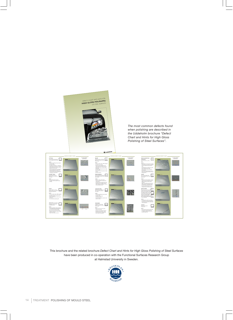

This brochure and the related brochure *Defect Chart and Hints for High Gloss Polishing of Steel Surfaces* have been produced in co-operation with the Functional Surfaces Research Group at Halmstad University in Sweden.

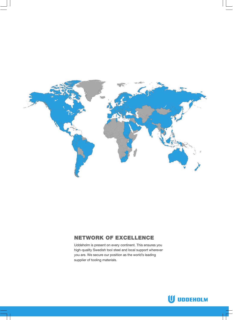

# NETWORK OF EXCELLENCE

Uddeholm is present on every continent. This ensures you high-quality Swedish tool steel and local support wherever you are. We secure our position as the world's leading supplier of tooling materials.